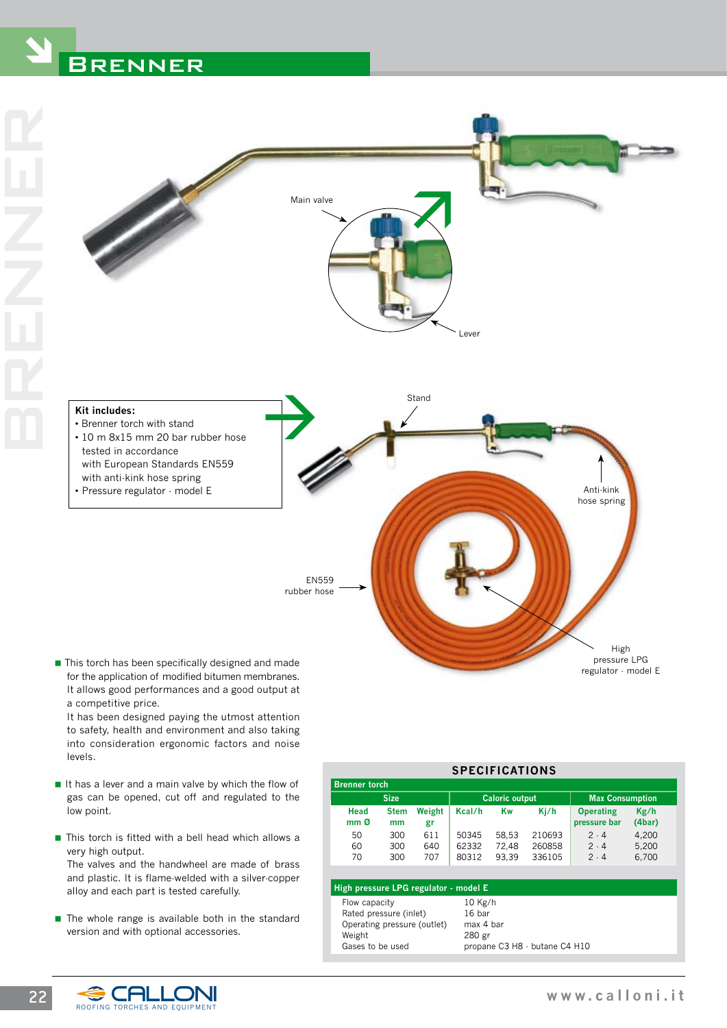# **BRENNER**



EN559 rubber hose

■ This torch has been specifically designed and made for the application of modified bitumen membranes. It allows good performances and a good output at a competitive price.

• Pressure regulator - model E

 It has been designed paying the utmost attention to safety, health and environment and also taking into consideration ergonomic factors and noise levels.

- $\blacksquare$  It has a lever and a main valve by which the flow of gas can be opened, cut off and regulated to the low point.
- $\blacksquare$  This torch is fitted with a bell head which allows a very high output. The valves and the handwheel are made of brass and plastic. It is flame-welded with a silver-copper alloy and each part is tested carefully.
- $\blacksquare$  The whole range is available both in the standard version and with optional accessories.

| <b>SPECIFICATIONS</b>                                                                                |                   |                   |                                                                             |                         |                            |                                  |                         |  |  |
|------------------------------------------------------------------------------------------------------|-------------------|-------------------|-----------------------------------------------------------------------------|-------------------------|----------------------------|----------------------------------|-------------------------|--|--|
| <b>Brenner torch</b>                                                                                 |                   |                   |                                                                             |                         |                            |                                  |                         |  |  |
| <b>Size</b>                                                                                          |                   |                   | <b>Caloric output</b>                                                       |                         |                            | <b>Max Consumption</b>           |                         |  |  |
| Head<br>mm <sub>0</sub>                                                                              | <b>Stem</b><br>mm | Weight<br>gr      | Kcal/h                                                                      | Kw                      | Kj/h                       | <b>Operating</b><br>pressure bar | Kg/h<br>(4bar)          |  |  |
| 50<br>60<br>70                                                                                       | 300<br>300<br>300 | 611<br>640<br>707 | 50345<br>62332<br>80312                                                     | 58.53<br>72.48<br>93.39 | 210693<br>260858<br>336105 | 2.4<br>2.4<br>2.4                | 4,200<br>5.200<br>6.700 |  |  |
| High pressure LPG regulator - model E                                                                |                   |                   |                                                                             |                         |                            |                                  |                         |  |  |
| Flow capacity<br>Rated pressure (inlet)<br>Operating pressure (outlet)<br>Weight<br>Gases to be used |                   |                   | $10$ Kg/h<br>16 bar<br>max 4 bar<br>280 gr<br>propane C3 H8 · butane C4 H10 |                         |                            |                                  |                         |  |  |



hose spring

High pressure LPG regulator - model E